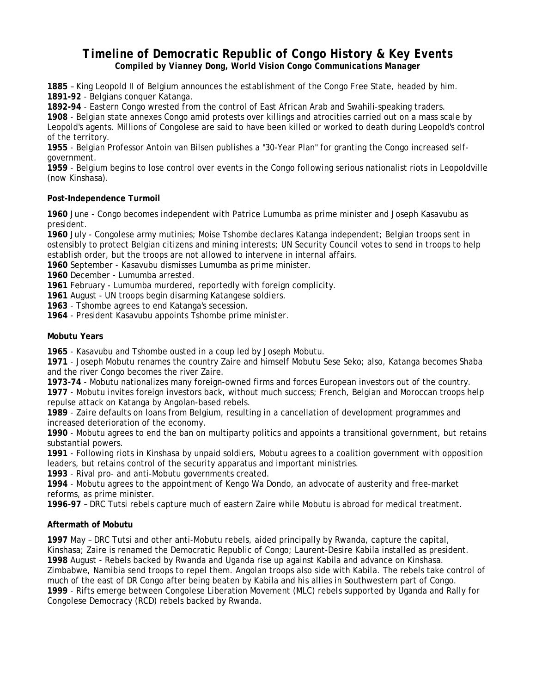# *Timeline of Democratic Republic of Congo History & Key Events Compiled by Vianney Dong, World Vision Congo Communications Manager*

**1885** – King Leopold II of Belgium announces the establishment of the Congo Free State, headed by him. **1891-92** - Belgians conquer Katanga.

**1892-94** - Eastern Congo wrested from the control of East African Arab and Swahili-speaking traders. **1908** - Belgian state annexes Congo amid protests over killings and atrocities carried out on a mass scale by Leopold's agents. Millions of Congolese are said to have been killed or worked to death during Leopold's control of the territory.

**1955** - Belgian Professor Antoin van Bilsen publishes a "30-Year Plan" for granting the Congo increased selfgovernment.

**1959** - Belgium begins to lose control over events in the Congo following serious nationalist riots in Leopoldville (now Kinshasa).

## **Post-Independence Turmoil**

**1960** June - Congo becomes independent with Patrice Lumumba as prime minister and Joseph Kasavubu as president.

**1960** July - Congolese army mutinies; Moise Tshombe declares Katanga independent; Belgian troops sent in ostensibly to protect Belgian citizens and mining interests; UN Security Council votes to send in troops to help establish order, but the troops are not allowed to intervene in internal affairs.

**1960** September - Kasavubu dismisses Lumumba as prime minister.

**1960** December - Lumumba arrested.

**1961** February - Lumumba murdered, reportedly with foreign complicity.

**1961** August - UN troops begin disarming Katangese soldiers.

**1963** - Tshombe agrees to end Katanga's secession.

**1964** - President Kasavubu appoints Tshombe prime minister.

## **Mobutu Years**

**1965** - Kasavubu and Tshombe ousted in a coup led by Joseph Mobutu.

**1971** - Joseph Mobutu renames the country Zaire and himself Mobutu Sese Seko; also, Katanga becomes Shaba and the river Congo becomes the river Zaire.

**1973-74** - Mobutu nationalizes many foreign-owned firms and forces European investors out of the country.

**1977** - Mobutu invites foreign investors back, without much success; French, Belgian and Moroccan troops help repulse attack on Katanga by Angolan-based rebels.

**1989** - Zaire defaults on loans from Belgium, resulting in a cancellation of development programmes and increased deterioration of the economy.

**1990** - Mobutu agrees to end the ban on multiparty politics and appoints a transitional government, but retains substantial powers.

**1991** - Following riots in Kinshasa by unpaid soldiers, Mobutu agrees to a coalition government with opposition leaders, but retains control of the security apparatus and important ministries.

**1993** - Rival pro- and anti-Mobutu governments created.

**1994** - Mobutu agrees to the appointment of Kengo Wa Dondo, an advocate of austerity and free-market reforms, as prime minister.

**1996-97** – DRC Tutsi rebels capture much of eastern Zaire while Mobutu is abroad for medical treatment.

# **Aftermath of Mobutu**

**1997** May – DRC Tutsi and other anti-Mobutu rebels, aided principally by Rwanda, capture the capital, Kinshasa; Zaire is renamed the Democratic Republic of Congo; Laurent-Desire Kabila installed as president. **1998** August - Rebels backed by Rwanda and Uganda rise up against Kabila and advance on Kinshasa. Zimbabwe, Namibia send troops to repel them. Angolan troops also side with Kabila. The rebels take control of much of the east of DR Congo after being beaten by Kabila and his allies in Southwestern part of Congo. **1999** - Rifts emerge between Congolese Liberation Movement (MLC) rebels supported by Uganda and Rally for Congolese Democracy (RCD) rebels backed by Rwanda.